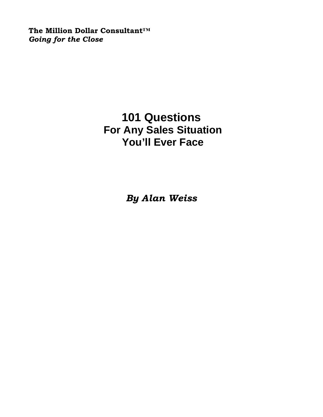**The Million Dollar Consultant™**  *Going for the Close* 

# **101 Questions For Any Sales Situation You'll Ever Face**

*By Alan Weiss*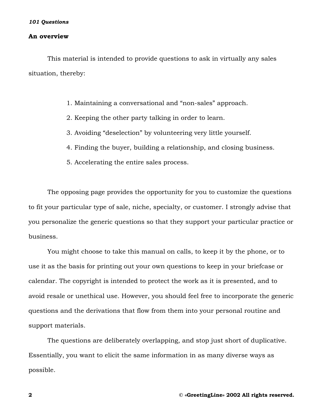#### **An overview**

 This material is intended to provide questions to ask in virtually any sales situation, thereby:

- 1. Maintaining a conversational and "non-sales" approach.
- 2. Keeping the other party talking in order to learn.
- 3. Avoiding "deselection" by volunteering very little yourself.
- 4. Finding the buyer, building a relationship, and closing business.
- 5. Accelerating the entire sales process.

 The opposing page provides the opportunity for you to customize the questions to fit your particular type of sale, niche, specialty, or customer. I strongly advise that you personalize the generic questions so that they support your particular practice or business.

 You might choose to take this manual on calls, to keep it by the phone, or to use it as the basis for printing out your own questions to keep in your briefcase or calendar. The copyright is intended to protect the work as it is presented, and to avoid resale or unethical use. However, you should feel free to incorporate the generic questions and the derivations that flow from them into your personal routine and support materials.

 The questions are deliberately overlapping, and stop just short of duplicative. Essentially, you want to elicit the same information in as many diverse ways as possible.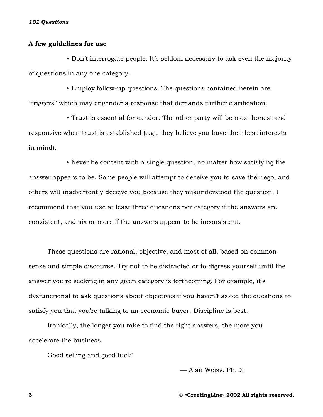### **A few guidelines for use**

 • Don't interrogate people. It's seldom necessary to ask even the majority of questions in any one category.

 • Employ follow-up questions. The questions contained herein are "triggers" which may engender a response that demands further clarification.

 • Trust is essential for candor. The other party will be most honest and responsive when trust is established (e.g., they believe you have their best interests in mind).

 • Never be content with a single question, no matter how satisfying the answer appears to be. Some people will attempt to deceive you to save their ego, and others will inadvertently deceive you because they misunderstood the question. I recommend that you use at least three questions per category if the answers are consistent, and six or more if the answers appear to be inconsistent.

 These questions are rational, objective, and most of all, based on common sense and simple discourse. Try not to be distracted or to digress yourself until the answer you're seeking in any given category is forthcoming. For example, it's dysfunctional to ask questions about objectives if you haven't asked the questions to satisfy you that you're talking to an economic buyer. Discipline is best.

 Ironically, the longer you take to find the right answers, the more you accelerate the business.

Good selling and good luck!

— Alan Weiss, Ph.D.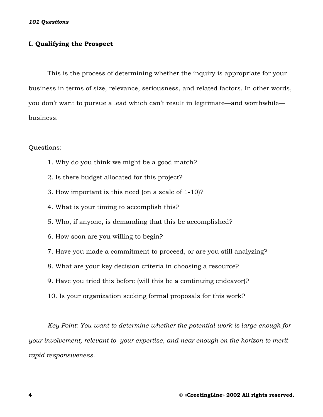# **I. Qualifying the Prospect**

This is the process of determining whether the inquiry is appropriate for your business in terms of size, relevance, seriousness, and related factors. In other words, you don't want to pursue a lead which can't result in legitimate—and worthwhile business.

Questions:

- 1. Why do you think we might be a good match?
- 2. Is there budget allocated for this project?
- 3. How important is this need (on a scale of 1-10)?
- 4. What is your timing to accomplish this?
- 5. Who, if anyone, is demanding that this be accomplished?
- 6. How soon are you willing to begin?
- 7. Have you made a commitment to proceed, or are you still analyzing?
- 8. What are your key decision criteria in choosing a resource?
- 9. Have you tried this before (will this be a continuing endeavor)?
- 10. Is your organization seeking formal proposals for this work?

*Key Point: You want to determine whether the potential work is large enough for your involvement, relevant to your expertise, and near enough on the horizon to merit rapid responsiveness.*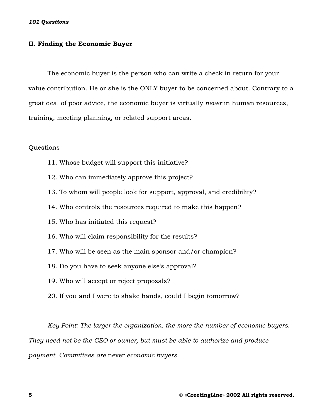### **II. Finding the Economic Buyer**

The economic buyer is the person who can write a check in return for your value contribution. He or she is the ONLY buyer to be concerned about. Contrary to a great deal of poor advice, the economic buyer is virtually *never* in human resources, training, meeting planning, or related support areas.

# Questions

- 11. Whose budget will support this initiative?
- 12. Who can immediately approve this project?
- 13. To whom will people look for support, approval, and credibility?
- 14. Who controls the resources required to make this happen?
- 15. Who has initiated this request?
- 16. Who will claim responsibility for the results?
- 17. Who will be seen as the main sponsor and/or champion?
- 18. Do you have to seek anyone else's approval?
- 19. Who will accept or reject proposals?
- 20. If you and I were to shake hands, could I begin tomorrow?

*Key Point: The larger the organization, the more the number of economic buyers. They need not be the CEO or owner, but must be able to authorize and produce payment. Committees are* never *economic buyers.*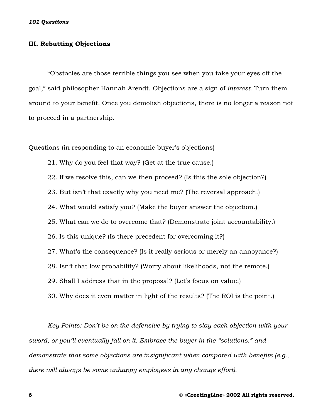# **III. Rebutting Objections**

"Obstacles are those terrible things you see when you take your eyes off the goal," said philosopher Hannah Arendt. Objections are a sign of *interest.* Turn them around to your benefit. Once you demolish objections, there is no longer a reason not to proceed in a partnership.

Questions (in responding to an economic buyer's objections)

21. Why do you feel that way? (Get at the true cause.)

22. If we resolve this, can we then proceed? (Is this the sole objection?)

23. But isn't that exactly why you need me? (The reversal approach.)

24. What would satisfy you? (Make the buyer answer the objection.)

25. What can we do to overcome that? (Demonstrate joint accountability.)

26. Is this unique? (Is there precedent for overcoming it?)

27. What's the consequence? (Is it really serious or merely an annoyance?)

28. Isn't that low probability? (Worry about likelihoods, not the remote.)

29. Shall I address that in the proposal? (Let's focus on value.)

30. Why does it even matter in light of the results? (The ROI is the point.)

 *Key Points: Don't be on the defensive by trying to slay each objection with your sword, or you'll eventually fall on it. Embrace the buyer in the "solutions," and demonstrate that some objections are insignificant when compared with benefits (e.g., there will always be some unhappy employees in any change effort).*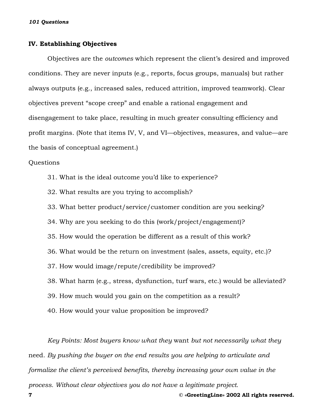## **IV. Establishing Objectives**

 Objectives are the *outcomes* which represent the client's desired and improved conditions. They are never inputs (e.g., reports, focus groups, manuals) but rather always outputs (e.g., increased sales, reduced attrition, improved teamwork). Clear objectives prevent "scope creep" and enable a rational engagement and disengagement to take place, resulting in much greater consulting efficiency and profit margins. (Note that items IV, V, and VI—objectives, measures, and value—are the basis of conceptual agreement.)

## Questions

- 31. What is the ideal outcome you'd like to experience?
- 32. What results are you trying to accomplish?
- 33. What better product/service/customer condition are you seeking?
- 34. Why are you seeking to do this (work/project/engagement)?
- 35. How would the operation be different as a result of this work?
- 36. What would be the return on investment (sales, assets, equity, etc.)?
- 37. How would image/repute/credibility be improved?
- 38. What harm (e.g., stress, dysfunction, turf wars, etc.) would be alleviated?
- 39. How much would you gain on the competition as a result?
- 40. How would your value proposition be improved?

*Key Points: Most buyers know what they* want *but not necessarily what they*  need. *By pushing the buyer on the end results you are helping to articulate and formalize the client's perceived benefits, thereby increasing your own value in the process. Without clear objectives you do not have a legitimate project.* 

**7 © «GreetingLine» 2002 All rights reserved.**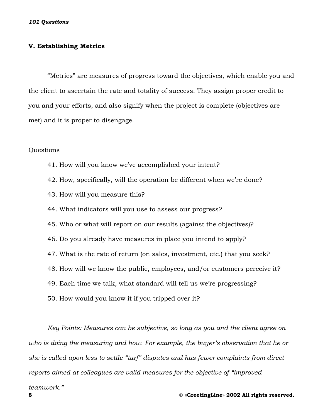#### **V. Establishing Metrics**

"Metrics" are measures of progress toward the objectives, which enable you and the client to ascertain the rate and totality of success. They assign proper credit to you and your efforts, and also signify when the project is complete (objectives are met) and it is proper to disengage.

#### Questions

- 41. How will you know we've accomplished your intent?
- 42. How, specifically, will the operation be different when we're done?
- 43. How will you measure this?
- 44. What indicators will you use to assess our progress?
- 45. Who or what will report on our results (against the objectives)?
- 46. Do you already have measures in place you intend to apply?
- 47. What is the rate of return (on sales, investment, etc.) that you seek?
- 48. How will we know the public, employees, and/or customers perceive it?
- 49. Each time we talk, what standard will tell us we're progressing?
- 50. How would you know it if you tripped over it?

*Key Points: Measures can be subjective, so long as you and the client agree on who is doing the measuring and how. For example, the buyer's observation that he or she is called upon less to settle "turf" disputes and has fewer complaints from direct reports aimed at colleagues are valid measures for the objective of "improved* 

*teamwork."*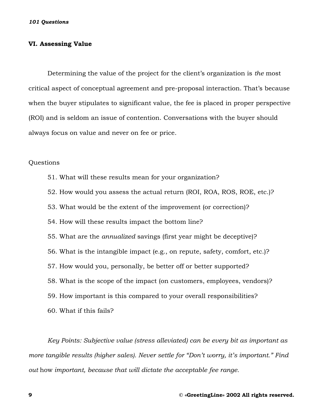# **VI. Assessing Value**

Determining the value of the project for the client's organization is *the* most critical aspect of conceptual agreement and pre-proposal interaction. That's because when the buyer stipulates to significant value, the fee is placed in proper perspective (ROI) and is seldom an issue of contention. Conversations with the buyer should always focus on value and never on fee or price.

# Questions

- 51. What will these results mean for your organization?
- 52. How would you assess the actual return (ROI, ROA, ROS, ROE, etc.)?
- 53. What would be the extent of the improvement (or correction)?
- 54. How will these results impact the bottom line?
- 55. What are the *annualized* savings (first year might be deceptive)?
- 56. What is the intangible impact (e.g., on repute, safety, comfort, etc.)?
- 57. How would you, personally, be better off or better supported?
- 58. What is the scope of the impact (on customers, employees, vendors)?
- 59. How important is this compared to your overall responsibilities?
- 60. What if this fails?

*Key Points: Subjective value (stress alleviated) can be every bit as important as more tangible results (higher sales). Never settle for "Don't worry, it's important." Find out* how *important, because that will dictate the acceptable fee range.*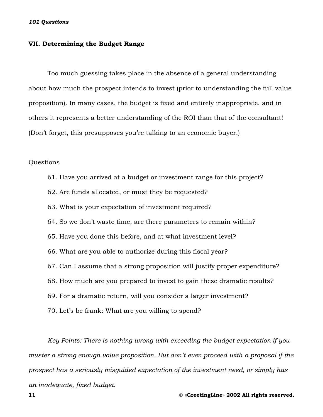## **VII. Determining the Budget Range**

Too much guessing takes place in the absence of a general understanding about how much the prospect intends to invest (prior to understanding the full value proposition). In many cases, the budget is fixed and entirely inappropriate, and in others it represents a better understanding of the ROI than that of the consultant! (Don't forget, this presupposes you're talking to an economic buyer.)

#### Questions

- 61. Have you arrived at a budget or investment range for this project?
- 62. Are funds allocated, or must they be requested?
- 63. What is your expectation of investment required?
- 64. So we don't waste time, are there parameters to remain within?
- 65. Have you done this before, and at what investment level?
- 66. What are you able to authorize during this fiscal year?
- 67. Can I assume that a strong proposition will justify proper expenditure?
- 68. How much are you prepared to invest to gain these dramatic results?
- 69. For a dramatic return, will you consider a larger investment?
- 70. Let's be frank: What are you willing to spend?

 *Key Points: There is nothing wrong with exceeding the budget expectation if you muster a strong enough value proposition. But don't even proceed with a proposal if the prospect has a seriously misguided expectation of the investment need, or simply has an inadequate, fixed budget.*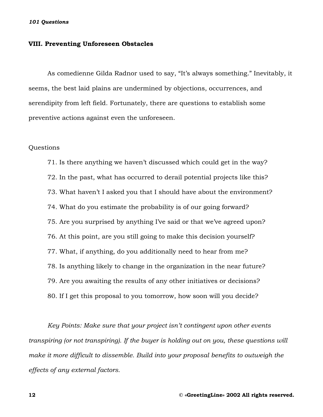#### **VIII. Preventing Unforeseen Obstacles**

As comedienne Gilda Radnor used to say, "It's always something." Inevitably, it seems, the best laid plains are undermined by objections, occurrences, and serendipity from left field. Fortunately, there are questions to establish some preventive actions against even the unforeseen.

# Questions

 71. Is there anything we haven't discussed which could get in the way? 72. In the past, what has occurred to derail potential projects like this? 73. What haven't I asked you that I should have about the environment? 74. What do you estimate the probability is of our going forward? 75. Are you surprised by anything I've said or that we've agreed upon? 76. At this point, are you still going to make this decision yourself? 77. What, if anything, do you additionally need to hear from me? 78. Is anything likely to change in the organization in the near future? 79. Are you awaiting the results of any other initiatives or decisions? 80. If I get this proposal to you tomorrow, how soon will you decide?

*Key Points: Make sure that your project isn't contingent upon other events transpiring (or not transpiring). If the buyer is holding out on you, these questions will make it more difficult to dissemble. Build into your proposal benefits to outweigh the effects of any external factors.*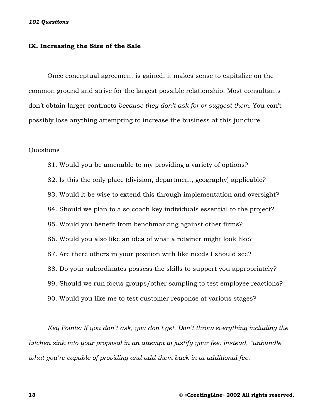#### **IX. Increasing the Size of the Sale**

Once conceptual agreement is gained, it makes sense to capitalize on the common ground and strive for the largest possible relationship. Most consultants don't obtain larger contracts *because they don't ask for or suggest them.* You can't possibly lose anything attempting to increase the business at this juncture.

#### Questions

 81. Would you be amenable to my providing a variety of options? 82. Is this the only place (division, department, geography) applicable? 83. Would it be wise to extend this through implementation and oversight? 84. Should we plan to also coach key individuals essential to the project? 85. Would you benefit from benchmarking against other firms? 86. Would you also like an idea of what a retainer might look like? 87. Are there others in your position with like needs I should see? 88. Do your subordinates possess the skills to support you appropriately? 89. Should we run focus groups/other sampling to test employee reactions? 90. Would you like me to test customer response at various stages?

*Key Points: If you don't ask, you don't get. Don't throw everything including the kitchen sink into your proposal in an attempt to justify your fee. Instead, "unbundle" what you're capable of providing and add them back in at additional fee.*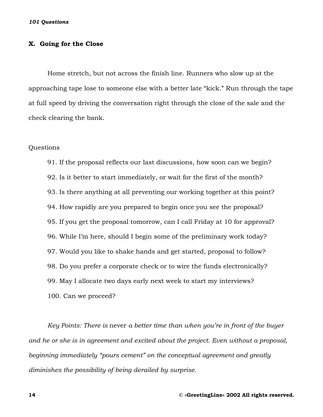## **X. Going for the Close**

Home stretch, but not across the finish line. Runners who slow up at the approaching tape lose to someone else with a better late "kick." Run through the tape at full speed by driving the conversation right through the close of the sale and the check clearing the bank.

#### Questions

 91. If the proposal reflects our last discussions, how soon can we begin? 92. Is it better to start immediately, or wait for the first of the month? 93. Is there anything at all preventing our working together at this point? 94. How rapidly are you prepared to begin once you see the proposal? 95. If you get the proposal tomorrow, can I call Friday at 10 for approval? 96. While I'm here, should I begin some of the preliminary work today? 97. Would you like to shake hands and get started, proposal to follow? 98. Do you prefer a corporate check or to wire the funds electronically? 99. May I allocate two days early next week to start my interviews? 100. Can we proceed?

*Key Points: There is* never *a better time than when you're in front of the buyer and he or she is in agreement and excited about the project. Even without a proposal, beginning immediately "pours cement" on the conceptual agreement and greatly diminishes the possibility of being derailed by surprise.*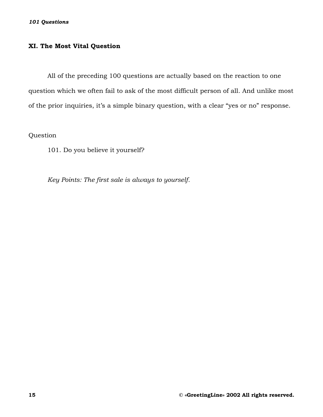# **XI. The Most Vital Question**

All of the preceding 100 questions are actually based on the reaction to one question which we often fail to ask of the most difficult person of all. And unlike most of the prior inquiries, it's a simple binary question, with a clear "yes or no" response.

Question

101. Do you believe it yourself?

*Key Points: The first sale is always to yourself.*